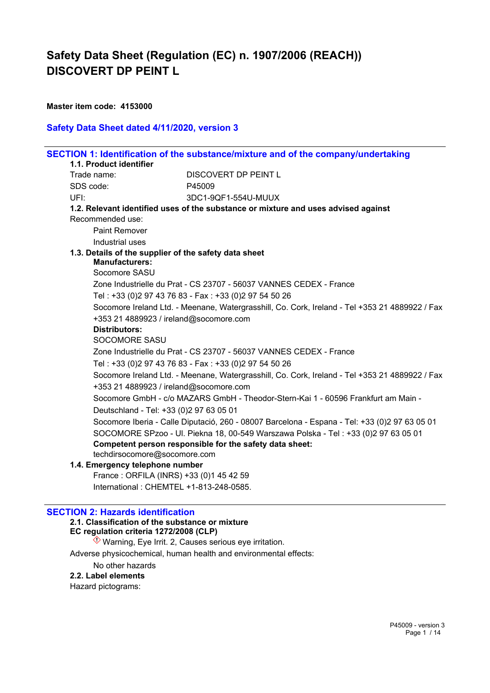#### **Master item code: 4153000**

### **Safety Data Sheet dated 4/11/2020, version 3**

|                                                                                | SECTION 1: Identification of the substance/mixture and of the company/undertaking              |
|--------------------------------------------------------------------------------|------------------------------------------------------------------------------------------------|
| 1.1. Product identifier                                                        |                                                                                                |
| Trade name:                                                                    | DISCOVERT DP PEINT L                                                                           |
| SDS code:                                                                      | P45009                                                                                         |
| UFI:                                                                           | 3DC1-9QF1-554U-MUUX                                                                            |
|                                                                                | 1.2. Relevant identified uses of the substance or mixture and uses advised against             |
| Recommended use:                                                               |                                                                                                |
| <b>Paint Remover</b>                                                           |                                                                                                |
| Industrial uses                                                                |                                                                                                |
| 1.3. Details of the supplier of the safety data sheet<br><b>Manufacturers:</b> |                                                                                                |
| Socomore SASU                                                                  |                                                                                                |
|                                                                                | Zone Industrielle du Prat - CS 23707 - 56037 VANNES CEDEX - France                             |
|                                                                                | Tel: +33 (0)2 97 43 76 83 - Fax: +33 (0)2 97 54 50 26                                          |
|                                                                                | Socomore Ireland Ltd. - Meenane, Watergrasshill, Co. Cork, Ireland - Tel +353 21 4889922 / Fax |
| +353 21 4889923 / ireland@socomore.com                                         |                                                                                                |
| <b>Distributors:</b>                                                           |                                                                                                |
| <b>SOCOMORE SASU</b>                                                           |                                                                                                |
|                                                                                | Zone Industrielle du Prat - CS 23707 - 56037 VANNES CEDEX - France                             |
|                                                                                | Tel: +33 (0)2 97 43 76 83 - Fax: +33 (0)2 97 54 50 26                                          |
| +353 21 4889923 / ireland@socomore.com                                         | Socomore Ireland Ltd. - Meenane, Watergrasshill, Co. Cork, Ireland - Tel +353 21 4889922 / Fax |
|                                                                                | Socomore GmbH - c/o MAZARS GmbH - Theodor-Stern-Kai 1 - 60596 Frankfurt am Main -              |
| Deutschland - Tel: +33 (0)2 97 63 05 01                                        |                                                                                                |
|                                                                                | Socomore Iberia - Calle Diputació, 260 - 08007 Barcelona - Espana - Tel: +33 (0)2 97 63 05 01  |
|                                                                                | SOCOMORE SPzoo - UI. Piekna 18, 00-549 Warszawa Polska - Tel: +33 (0)2 97 63 05 01             |
|                                                                                | Competent person responsible for the safety data sheet:                                        |
| techdirsocomore@socomore.com                                                   |                                                                                                |
| 1.4. Emergency telephone number                                                |                                                                                                |
| France: ORFILA (INRS) +33 (0)1 45 42 59                                        |                                                                                                |
| International: CHEMTEL +1-813-248-0585.                                        |                                                                                                |

## **SECTION 2: Hazards identification**

#### **2.1. Classification of the substance or mixture**

**EC regulation criteria 1272/2008 (CLP)**

 $\Diamond$  Warning, Eye Irrit. 2, Causes serious eye irritation.

Adverse physicochemical, human health and environmental effects:

No other hazards

#### **2.2. Label elements**

Hazard pictograms: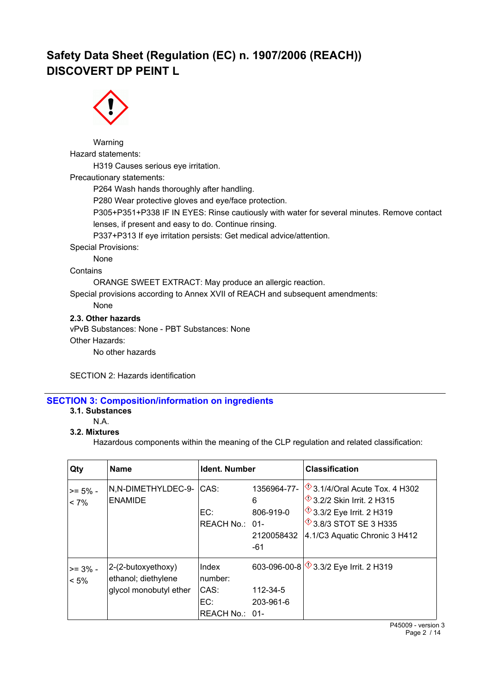

Warning Hazard statements: H319 Causes serious eye irritation. Precautionary statements: P264 Wash hands thoroughly after handling. P280 Wear protective gloves and eye/face protection. P305+P351+P338 IF IN EYES: Rinse cautiously with water for several minutes. Remove contact lenses, if present and easy to do. Continue rinsing. P337+P313 If eye irritation persists: Get medical advice/attention. Special Provisions: None **Contains** ORANGE SWEET EXTRACT: May produce an allergic reaction. Special provisions according to Annex XVII of REACH and subsequent amendments: None **2.3. Other hazards** vPvB Substances: None - PBT Substances: None Other Hazards: No other hazards

SECTION 2: Hazards identification

## **SECTION 3: Composition/information on ingredients**

## **3.1. Substances**

N.A.

#### **3.2. Mixtures**

Hazardous components within the meaning of the CLP regulation and related classification:

| Qty                   | <b>Name</b>                                                         | <b>Ident. Number</b>                              |                                                    | <b>Classification</b>                                                                                                                                                                            |
|-----------------------|---------------------------------------------------------------------|---------------------------------------------------|----------------------------------------------------|--------------------------------------------------------------------------------------------------------------------------------------------------------------------------------------------------|
| $>= 5\%$ -<br>$< 7\%$ | N,N-DIMETHYLDEC-9-<br><b>ENAMIDE</b>                                | CAS:<br>EC:<br>REACH No.: 01-                     | 1356964-77-<br>6<br>806-919-0<br>2120058432<br>-61 | $\sqrt{$}$ 3.1/4/Oral Acute Tox. 4 H302<br>$\sqrt[4]{3.2/2}$ Skin Irrit. 2 H315<br>$\sqrt[4]{}$ 3.3/2 Eye Irrit. 2 H319<br>$\textcircled{3}.8/3$ STOT SE 3 H335<br>4.1/C3 Aquatic Chronic 3 H412 |
| $>= 3\%$ -<br>$< 5\%$ | 2-(2-butoxyethoxy)<br>ethanol; diethylene<br>glycol monobutyl ether | Index<br>number:<br>CAS:<br>EC:<br>REACH No.: 01- | 112-34-5<br>203-961-6                              | 603-096-00-8 3.3/2 Eye Irrit. 2 H319                                                                                                                                                             |

P45009 - version 3 Page 2 / 14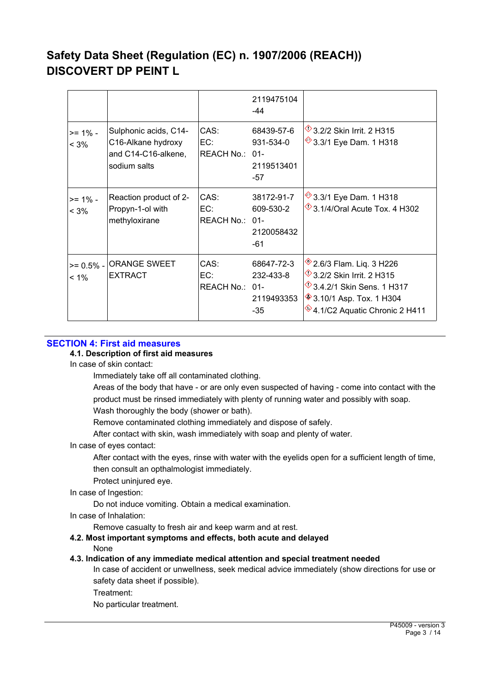|                        |                                                                                    |                               | 2119475104<br>-44                            |                                                                                                                                                                                                          |
|------------------------|------------------------------------------------------------------------------------|-------------------------------|----------------------------------------------|----------------------------------------------------------------------------------------------------------------------------------------------------------------------------------------------------------|
| $>= 1\%$ -<br>$< 3\%$  | Sulphonic acids, C14-<br>C16-Alkane hydroxy<br>and C14-C16-alkene,<br>sodium salts | CAS:<br>EC:<br>REACH No.: 01- | 68439-57-6<br>931-534-0<br>2119513401<br>-57 | $\sqrt{$}3.2/2$ Skin Irrit. 2 H315<br><sup>◆</sup> 3.3/1 Eye Dam. 1 H318                                                                                                                                 |
| >= 1% -<br>$< 3\%$     | Reaction product of 2-<br>Propyn-1-ol with<br>methyloxirane                        | CAS:<br>EC:<br>REACH No.: 01- | 38172-91-7<br>609-530-2<br>2120058432<br>-61 | <sup>◆</sup> 3.3/1 Eye Dam. 1 H318<br>$\sqrt{$}$ 3.1/4/Oral Acute Tox. 4 H302                                                                                                                            |
| $>= 0.5%$ -<br>$< 1\%$ | <b>ORANGE SWEET</b><br><b>EXTRACT</b>                                              | CAS:<br>EC:<br>REACH No.: 01- | 68647-72-3<br>232-433-8<br>2119493353<br>-35 | $*2.6/3$ Flam. Liq. 3 H226<br>$\sqrt[4]{3.2/2}$ Skin Irrit. 2 H315<br>$\sqrt[4]{}$ 3.4.2/1 Skin Sens. 1 H317<br><b><sup>◈</sup>3.10/1 Asp. Tox. 1 H304</b><br><sup>♦</sup> 4.1/C2 Aquatic Chronic 2 H411 |

#### **SECTION 4: First aid measures**

#### **4.1. Description of first aid measures**

In case of skin contact:

Immediately take off all contaminated clothing.

Areas of the body that have - or are only even suspected of having - come into contact with the product must be rinsed immediately with plenty of running water and possibly with soap. Wash thoroughly the body (shower or bath).

Remove contaminated clothing immediately and dispose of safely.

After contact with skin, wash immediately with soap and plenty of water.

#### In case of eyes contact:

After contact with the eyes, rinse with water with the eyelids open for a sufficient length of time, then consult an opthalmologist immediately.

Protect uninjured eye.

#### In case of Ingestion:

Do not induce vomiting. Obtain a medical examination.

In case of Inhalation:

Remove casualty to fresh air and keep warm and at rest.

**4.2. Most important symptoms and effects, both acute and delayed**

None

#### **4.3. Indication of any immediate medical attention and special treatment needed**

In case of accident or unwellness, seek medical advice immediately (show directions for use or safety data sheet if possible).

Treatment:

No particular treatment.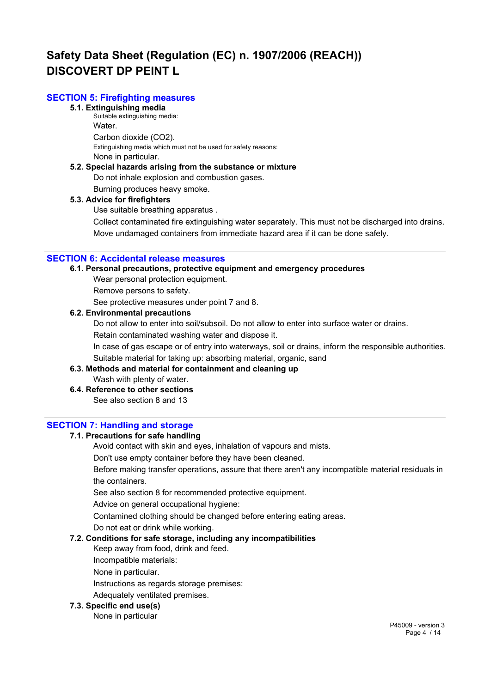### **SECTION 5: Firefighting measures**

## **5.1. Extinguishing media**

Suitable extinguishing media: Water. Carbon dioxide (CO2). Extinguishing media which must not be used for safety reasons: None in particular.

#### **5.2. Special hazards arising from the substance or mixture**

Do not inhale explosion and combustion gases.

Burning produces heavy smoke.

#### **5.3. Advice for firefighters**

Use suitable breathing apparatus .

Collect contaminated fire extinguishing water separately. This must not be discharged into drains. Move undamaged containers from immediate hazard area if it can be done safely.

#### **SECTION 6: Accidental release measures**

## **6.1. Personal precautions, protective equipment and emergency procedures**

Wear personal protection equipment.

Remove persons to safety.

See protective measures under point 7 and 8.

#### **6.2. Environmental precautions**

Do not allow to enter into soil/subsoil. Do not allow to enter into surface water or drains.

Retain contaminated washing water and dispose it.

In case of gas escape or of entry into waterways, soil or drains, inform the responsible authorities. Suitable material for taking up: absorbing material, organic, sand

#### **6.3. Methods and material for containment and cleaning up** Wash with plenty of water.

## **6.4. Reference to other sections**

See also section 8 and 13

#### **SECTION 7: Handling and storage**

#### **7.1. Precautions for safe handling**

Avoid contact with skin and eyes, inhalation of vapours and mists.

Don't use empty container before they have been cleaned.

Before making transfer operations, assure that there aren't any incompatible material residuals in the containers.

See also section 8 for recommended protective equipment.

Advice on general occupational hygiene:

Contamined clothing should be changed before entering eating areas.

Do not eat or drink while working.

#### **7.2. Conditions for safe storage, including any incompatibilities**

Keep away from food, drink and feed.

Incompatible materials:

None in particular.

Instructions as regards storage premises:

Adequately ventilated premises.

#### **7.3. Specific end use(s)**

None in particular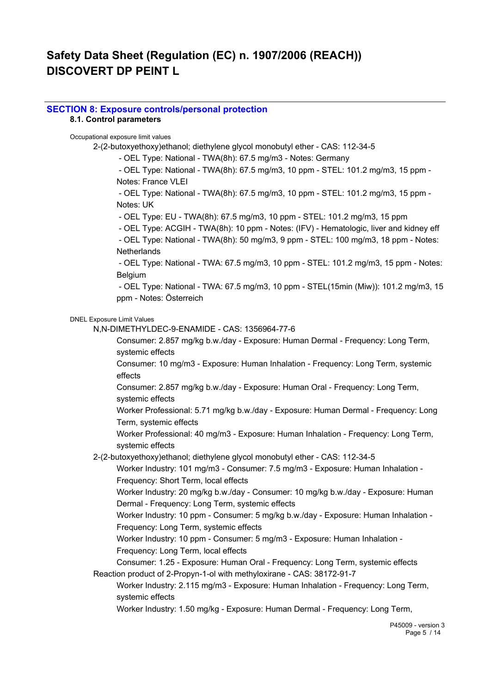#### **SECTION 8: Exposure controls/personal protection 8.1. Control parameters**

### Occupational exposure limit values

2-(2-butoxyethoxy)ethanol; diethylene glycol monobutyl ether - CAS: 112-34-5

- OEL Type: National - TWA(8h): 67.5 mg/m3 - Notes: Germany

 - OEL Type: National - TWA(8h): 67.5 mg/m3, 10 ppm - STEL: 101.2 mg/m3, 15 ppm - Notes: France VLEI

 - OEL Type: National - TWA(8h): 67.5 mg/m3, 10 ppm - STEL: 101.2 mg/m3, 15 ppm - Notes: UK

- OEL Type: EU - TWA(8h): 67.5 mg/m3, 10 ppm - STEL: 101.2 mg/m3, 15 ppm

- OEL Type: ACGIH - TWA(8h): 10 ppm - Notes: (IFV) - Hematologic, liver and kidney eff

 - OEL Type: National - TWA(8h): 50 mg/m3, 9 ppm - STEL: 100 mg/m3, 18 ppm - Notes: **Netherlands** 

 - OEL Type: National - TWA: 67.5 mg/m3, 10 ppm - STEL: 101.2 mg/m3, 15 ppm - Notes: Belgium

 - OEL Type: National - TWA: 67.5 mg/m3, 10 ppm - STEL(15min (Miw)): 101.2 mg/m3, 15 ppm - Notes: Österreich

#### DNEL Exposure Limit Values

N,N-DIMETHYLDEC-9-ENAMIDE - CAS: 1356964-77-6

Consumer: 2.857 mg/kg b.w./day - Exposure: Human Dermal - Frequency: Long Term, systemic effects

Consumer: 10 mg/m3 - Exposure: Human Inhalation - Frequency: Long Term, systemic effects

Consumer: 2.857 mg/kg b.w./day - Exposure: Human Oral - Frequency: Long Term, systemic effects

Worker Professional: 5.71 mg/kg b.w./day - Exposure: Human Dermal - Frequency: Long Term, systemic effects

Worker Professional: 40 mg/m3 - Exposure: Human Inhalation - Frequency: Long Term, systemic effects

2-(2-butoxyethoxy)ethanol; diethylene glycol monobutyl ether - CAS: 112-34-5

Worker Industry: 101 mg/m3 - Consumer: 7.5 mg/m3 - Exposure: Human Inhalation - Frequency: Short Term, local effects

Worker Industry: 20 mg/kg b.w./day - Consumer: 10 mg/kg b.w./day - Exposure: Human Dermal - Frequency: Long Term, systemic effects

Worker Industry: 10 ppm - Consumer: 5 mg/kg b.w./day - Exposure: Human Inhalation - Frequency: Long Term, systemic effects

Worker Industry: 10 ppm - Consumer: 5 mg/m3 - Exposure: Human Inhalation -

Frequency: Long Term, local effects

Consumer: 1.25 - Exposure: Human Oral - Frequency: Long Term, systemic effects Reaction product of 2-Propyn-1-ol with methyloxirane - CAS: 38172-91-7

Worker Industry: 2.115 mg/m3 - Exposure: Human Inhalation - Frequency: Long Term, systemic effects

Worker Industry: 1.50 mg/kg - Exposure: Human Dermal - Frequency: Long Term,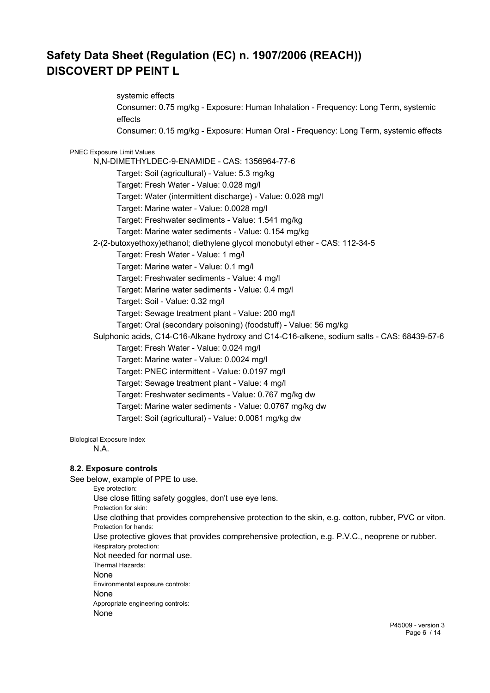systemic effects Consumer: 0.75 mg/kg - Exposure: Human Inhalation - Frequency: Long Term, systemic effects Consumer: 0.15 mg/kg - Exposure: Human Oral - Frequency: Long Term, systemic effects PNEC Exposure Limit Values N,N-DIMETHYLDEC-9-ENAMIDE - CAS: 1356964-77-6 Target: Soil (agricultural) - Value: 5.3 mg/kg Target: Fresh Water - Value: 0.028 mg/l Target: Water (intermittent discharge) - Value: 0.028 mg/l Target: Marine water - Value: 0.0028 mg/l Target: Freshwater sediments - Value: 1.541 mg/kg Target: Marine water sediments - Value: 0.154 mg/kg 2-(2-butoxyethoxy)ethanol; diethylene glycol monobutyl ether - CAS: 112-34-5 Target: Fresh Water - Value: 1 mg/l Target: Marine water - Value: 0.1 mg/l Target: Freshwater sediments - Value: 4 mg/l Target: Marine water sediments - Value: 0.4 mg/l Target: Soil - Value: 0.32 mg/l Target: Sewage treatment plant - Value: 200 mg/l Target: Oral (secondary poisoning) (foodstuff) - Value: 56 mg/kg Sulphonic acids, C14-C16-Alkane hydroxy and C14-C16-alkene, sodium salts - CAS: 68439-57-6 Target: Fresh Water - Value: 0.024 mg/l Target: Marine water - Value: 0.0024 mg/l Target: PNEC intermittent - Value: 0.0197 mg/l Target: Sewage treatment plant - Value: 4 mg/l Target: Freshwater sediments - Value: 0.767 mg/kg dw Target: Marine water sediments - Value: 0.0767 mg/kg dw Target: Soil (agricultural) - Value: 0.0061 mg/kg dw

Biological Exposure Index

N.A.

## **8.2. Exposure controls**

See below, example of PPE to use.

Eye protection: Use close fitting safety goggles, don't use eye lens. Protection for skin: Use clothing that provides comprehensive protection to the skin, e.g. cotton, rubber, PVC or viton. Protection for hands: Use protective gloves that provides comprehensive protection, e.g. P.V.C., neoprene or rubber. Respiratory protection: Not needed for normal use. Thermal Hazards: None Environmental exposure controls: None Appropriate engineering controls: None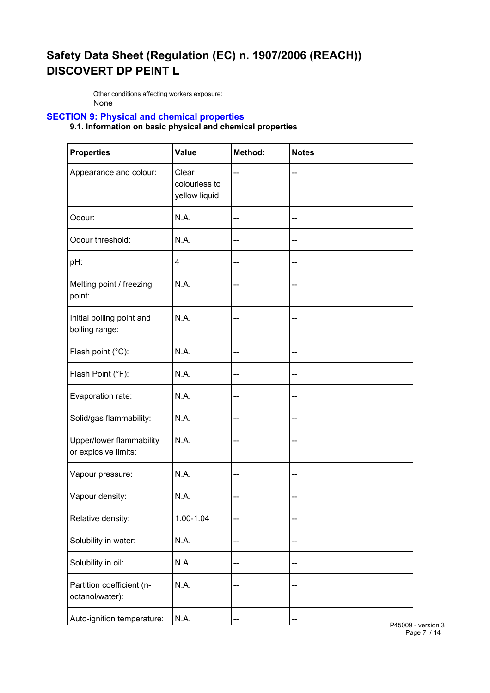Other conditions affecting workers exposure: None

## **SECTION 9: Physical and chemical properties**

## **9.1. Information on basic physical and chemical properties**

| <b>Properties</b>                                | Value                                   | Method: | <b>Notes</b> |
|--------------------------------------------------|-----------------------------------------|---------|--------------|
| Appearance and colour:                           | Clear<br>colourless to<br>yellow liquid | --      |              |
| Odour:                                           | N.A.                                    | --      | --           |
| Odour threshold:                                 | N.A.                                    | --      | --           |
| pH:                                              | 4                                       | --      | --           |
| Melting point / freezing<br>point:               | N.A.                                    | --      |              |
| Initial boiling point and<br>boiling range:      | N.A.                                    | --      | --           |
| Flash point (°C):                                | N.A.                                    | --      | --           |
| Flash Point (°F):                                | N.A.                                    | --      | --           |
| Evaporation rate:                                | N.A.                                    | --      | --           |
| Solid/gas flammability:                          | N.A.                                    | --      | --           |
| Upper/lower flammability<br>or explosive limits: | N.A.                                    | --      | --           |
| Vapour pressure:                                 | N.A.                                    | --      | --           |
| Vapour density:                                  | N.A.                                    | --      | --           |
| Relative density:                                | 1.00-1.04                               | --      | --           |
| Solubility in water:                             | N.A.                                    | --      | --           |
| Solubility in oil:                               | N.A.                                    | --      | --           |
| Partition coefficient (n-<br>octanol/water):     | N.A.                                    | --      | --           |
| Auto-ignition temperature:                       | N.A.                                    | ۰.      | P45009       |

 $P45009$  - version 3 Page 7 / 14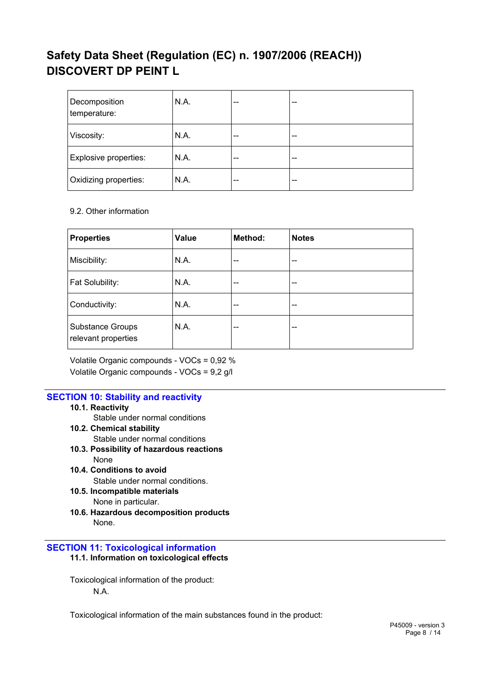| Decomposition<br>temperature: | N.A. | --    | -- |
|-------------------------------|------|-------|----|
| Viscosity:                    | N.A. | $- -$ | -- |
| Explosive properties:         | N.A. | $- -$ | -- |
| Oxidizing properties:         | N.A. | $- -$ | -- |

9.2. Other information

| <b>Properties</b>                              | Value | Method: | <b>Notes</b> |
|------------------------------------------------|-------|---------|--------------|
| Miscibility:                                   | N.A.  | $- -$   | --           |
| Fat Solubility:                                | N.A.  | $- -$   | --           |
| Conductivity:                                  | N.A.  | $- -$   | --           |
| <b>Substance Groups</b><br>relevant properties | N.A.  | --      | --           |

Volatile Organic compounds - VOCs = 0,92 % Volatile Organic compounds - VOCs = 9,2 g/l

## **SECTION 10: Stability and reactivity**

- **10.1. Reactivity**
	- Stable under normal conditions
- **10.2. Chemical stability** Stable under normal conditions
- **10.3. Possibility of hazardous reactions** None
- **10.4. Conditions to avoid** Stable under normal conditions.
- **10.5. Incompatible materials** None in particular.
- **10.6. Hazardous decomposition products** None.
- **SECTION 11: Toxicological information**
	- **11.1. Information on toxicological effects**

Toxicological information of the product: N.A.

Toxicological information of the main substances found in the product: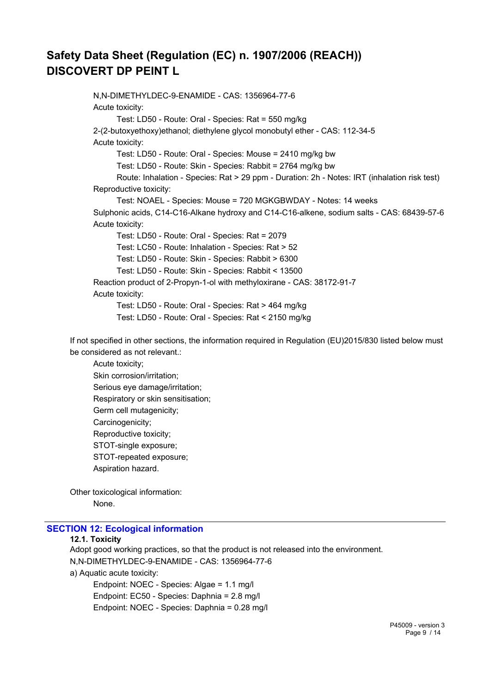N,N-DIMETHYLDEC-9-ENAMIDE - CAS: 1356964-77-6 Acute toxicity: Test: LD50 - Route: Oral - Species: Rat = 550 mg/kg 2-(2-butoxyethoxy)ethanol; diethylene glycol monobutyl ether - CAS: 112-34-5 Acute toxicity: Test: LD50 - Route: Oral - Species: Mouse = 2410 mg/kg bw Test: LD50 - Route: Skin - Species: Rabbit = 2764 mg/kg bw Route: Inhalation - Species: Rat > 29 ppm - Duration: 2h - Notes: IRT (inhalation risk test) Reproductive toxicity: Test: NOAEL - Species: Mouse = 720 MGKGBWDAY - Notes: 14 weeks Sulphonic acids, C14-C16-Alkane hydroxy and C14-C16-alkene, sodium salts - CAS: 68439-57-6 Acute toxicity: Test: LD50 - Route: Oral - Species: Rat = 2079 Test: LC50 - Route: Inhalation - Species: Rat > 52 Test: LD50 - Route: Skin - Species: Rabbit > 6300 Test: LD50 - Route: Skin - Species: Rabbit < 13500 Reaction product of 2-Propyn-1-ol with methyloxirane - CAS: 38172-91-7 Acute toxicity: Test: LD50 - Route: Oral - Species: Rat > 464 mg/kg Test: LD50 - Route: Oral - Species: Rat < 2150 mg/kg

If not specified in other sections, the information required in Regulation (EU)2015/830 listed below must be considered as not relevant.:

Acute toxicity; Skin corrosion/irritation; Serious eye damage/irritation; Respiratory or skin sensitisation; Germ cell mutagenicity; Carcinogenicity; Reproductive toxicity; STOT-single exposure; STOT-repeated exposure; Aspiration hazard.

Other toxicological information: None.

#### **SECTION 12: Ecological information**

#### **12.1. Toxicity**

Adopt good working practices, so that the product is not released into the environment. N,N-DIMETHYLDEC-9-ENAMIDE - CAS: 1356964-77-6

a) Aquatic acute toxicity:

Endpoint: NOEC - Species: Algae = 1.1 mg/l Endpoint: EC50 - Species: Daphnia = 2.8 mg/l Endpoint: NOEC - Species: Daphnia = 0.28 mg/l

> P45009 - version 3 Page 9 / 14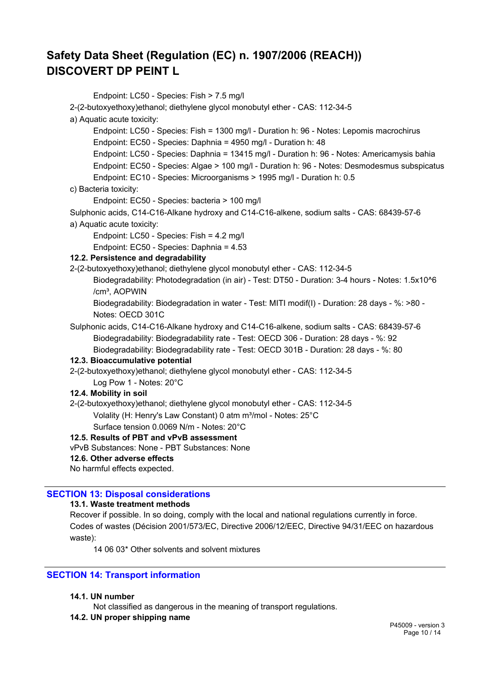Endpoint: LC50 - Species: Fish > 7.5 mg/l 2-(2-butoxyethoxy)ethanol; diethylene glycol monobutyl ether - CAS: 112-34-5 a) Aquatic acute toxicity: Endpoint: LC50 - Species: Fish = 1300 mg/l - Duration h: 96 - Notes: Lepomis macrochirus Endpoint: EC50 - Species: Daphnia = 4950 mg/l - Duration h: 48 Endpoint: LC50 - Species: Daphnia = 13415 mg/l - Duration h: 96 - Notes: Americamysis bahia Endpoint: EC50 - Species: Algae > 100 mg/l - Duration h: 96 - Notes: Desmodesmus subspicatus Endpoint: EC10 - Species: Microorganisms > 1995 mg/l - Duration h: 0.5 c) Bacteria toxicity: Endpoint: EC50 - Species: bacteria > 100 mg/l Sulphonic acids, C14-C16-Alkane hydroxy and C14-C16-alkene, sodium salts - CAS: 68439-57-6 a) Aquatic acute toxicity: Endpoint: LC50 - Species: Fish = 4.2 mg/l Endpoint: EC50 - Species: Daphnia = 4.53 **12.2. Persistence and degradability** 2-(2-butoxyethoxy)ethanol; diethylene glycol monobutyl ether - CAS: 112-34-5 Biodegradability: Photodegradation (in air) - Test: DT50 - Duration: 3-4 hours - Notes: 1.5x10^6 /cm<sup>3</sup>, AOPWIN Biodegradability: Biodegradation in water - Test: MITI modif(I) - Duration: 28 days - %: >80 - Notes: OECD 301C Sulphonic acids, C14-C16-Alkane hydroxy and C14-C16-alkene, sodium salts - CAS: 68439-57-6 Biodegradability: Biodegradability rate - Test: OECD 306 - Duration: 28 days - %: 92 Biodegradability: Biodegradability rate - Test: OECD 301B - Duration: 28 days - %: 80 **12.3. Bioaccumulative potential** 2-(2-butoxyethoxy)ethanol; diethylene glycol monobutyl ether - CAS: 112-34-5 Log Pow 1 - Notes: 20°C **12.4. Mobility in soil** 2-(2-butoxyethoxy)ethanol; diethylene glycol monobutyl ether - CAS: 112-34-5 Volality (H: Henry's Law Constant) 0 atm m<sup>3</sup>/mol - Notes: 25°C Surface tension 0.0069 N/m - Notes: 20°C **12.5. Results of PBT and vPvB assessment** vPvB Substances: None - PBT Substances: None

### **12.6. Other adverse effects**

No harmful effects expected.

## **SECTION 13: Disposal considerations**

## **13.1. Waste treatment methods**

Recover if possible. In so doing, comply with the local and national regulations currently in force. Codes of wastes (Décision 2001/573/EC, Directive 2006/12/EEC, Directive 94/31/EEC on hazardous waste):

14 06 03\* Other solvents and solvent mixtures

## **SECTION 14: Transport information**

## **14.1. UN number**

Not classified as dangerous in the meaning of transport regulations.

## **14.2. UN proper shipping name**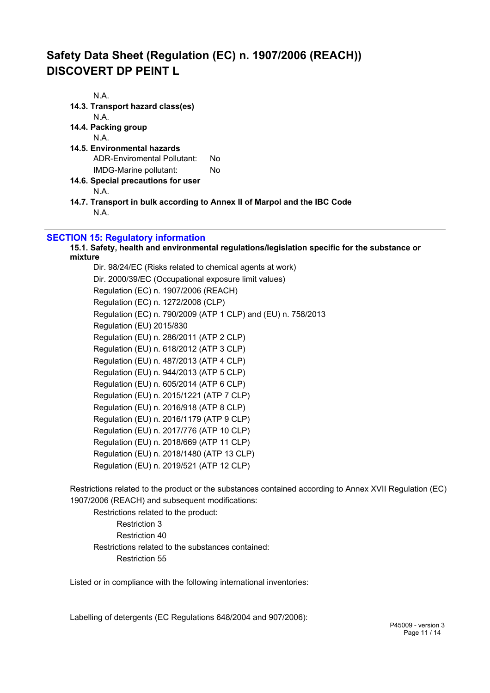| N.A.                                                                                                            |                                                                          |
|-----------------------------------------------------------------------------------------------------------------|--------------------------------------------------------------------------|
| 14.3. Transport hazard class(es)                                                                                |                                                                          |
| N.A.                                                                                                            |                                                                          |
| 14.4. Packing group                                                                                             |                                                                          |
| N.A.                                                                                                            |                                                                          |
| 14.5. Environmental hazards                                                                                     |                                                                          |
| ADR-Enviromental Pollutant:                                                                                     | No.                                                                      |
| IMDG-Marine pollutant:                                                                                          | No.                                                                      |
| 14.6. Special precautions for user                                                                              |                                                                          |
| N.A.                                                                                                            |                                                                          |
|                                                                                                                 | 14.7. Transport in bulk according to Annex II of Marpol and the IBC Code |
| N.A.                                                                                                            |                                                                          |
|                                                                                                                 |                                                                          |
| and the state of the state of the state of the state of the state of the state of the state of the state of the |                                                                          |

## **SECTION 15: Regulatory information**

#### **15.1. Safety, health and environmental regulations/legislation specific for the substance or mixture**

Dir. 98/24/EC (Risks related to chemical agents at work) Dir. 2000/39/EC (Occupational exposure limit values) Regulation (EC) n. 1907/2006 (REACH) Regulation (EC) n. 1272/2008 (CLP) Regulation (EC) n. 790/2009 (ATP 1 CLP) and (EU) n. 758/2013 Regulation (EU) 2015/830 Regulation (EU) n. 286/2011 (ATP 2 CLP) Regulation (EU) n. 618/2012 (ATP 3 CLP) Regulation (EU) n. 487/2013 (ATP 4 CLP) Regulation (EU) n. 944/2013 (ATP 5 CLP) Regulation (EU) n. 605/2014 (ATP 6 CLP) Regulation (EU) n. 2015/1221 (ATP 7 CLP) Regulation (EU) n. 2016/918 (ATP 8 CLP) Regulation (EU) n. 2016/1179 (ATP 9 CLP) Regulation (EU) n. 2017/776 (ATP 10 CLP) Regulation (EU) n. 2018/669 (ATP 11 CLP) Regulation (EU) n. 2018/1480 (ATP 13 CLP) Regulation (EU) n. 2019/521 (ATP 12 CLP)

Restrictions related to the product or the substances contained according to Annex XVII Regulation (EC) 1907/2006 (REACH) and subsequent modifications:

Restrictions related to the product: Restriction 3 Restriction 40 Restrictions related to the substances contained: Restriction 55

Listed or in compliance with the following international inventories:

Labelling of detergents (EC Regulations 648/2004 and 907/2006):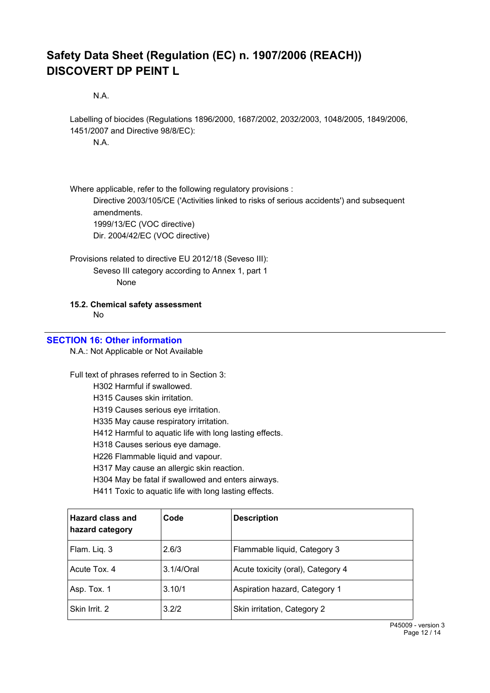N.A.

Labelling of biocides (Regulations 1896/2000, 1687/2002, 2032/2003, 1048/2005, 1849/2006, 1451/2007 and Directive 98/8/EC): N.A.

Where applicable, refer to the following regulatory provisions : Directive 2003/105/CE ('Activities linked to risks of serious accidents') and subsequent amendments. 1999/13/EC (VOC directive) Dir. 2004/42/EC (VOC directive)

Provisions related to directive EU 2012/18 (Seveso III): Seveso III category according to Annex 1, part 1 None

**15.2. Chemical safety assessment**

No

#### **SECTION 16: Other information**

N.A.: Not Applicable or Not Available

Full text of phrases referred to in Section 3:

H302 Harmful if swallowed.

H315 Causes skin irritation.

H319 Causes serious eye irritation.

H335 May cause respiratory irritation.

H412 Harmful to aquatic life with long lasting effects.

H318 Causes serious eye damage.

H226 Flammable liquid and vapour.

H317 May cause an allergic skin reaction.

H304 May be fatal if swallowed and enters airways.

H411 Toxic to aquatic life with long lasting effects.

| <b>Hazard class and</b><br>hazard category | Code          | <b>Description</b>                |
|--------------------------------------------|---------------|-----------------------------------|
| Flam. Liq. 3                               | 2.6/3         | Flammable liquid, Category 3      |
| Acute Tox, 4                               | $3.1/4$ /Oral | Acute toxicity (oral), Category 4 |
| Asp. Tox. 1                                | 3.10/1        | Aspiration hazard, Category 1     |
| Skin Irrit, 2                              | 3.2/2         | Skin irritation, Category 2       |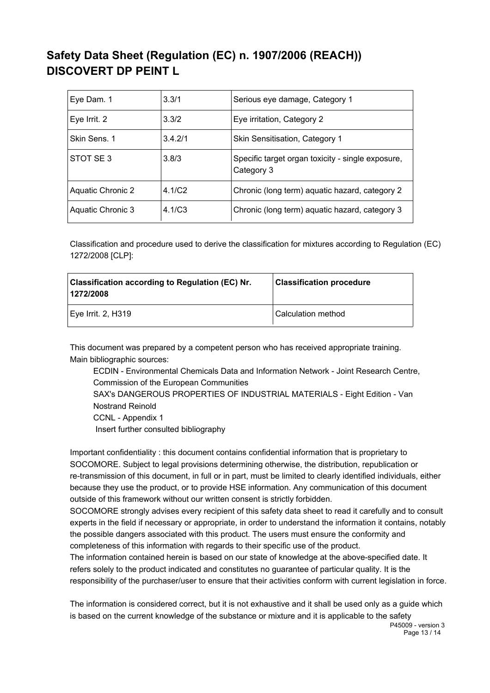| Eye Dam. 1        | 3.3/1              | Serious eye damage, Category 1                                  |
|-------------------|--------------------|-----------------------------------------------------------------|
| Eye Irrit. 2      | 3.3/2              | Eye irritation, Category 2                                      |
| Skin Sens. 1      | 3.4.2/1            | Skin Sensitisation, Category 1                                  |
| STOT SE3          | 3.8/3              | Specific target organ toxicity - single exposure,<br>Category 3 |
| Aquatic Chronic 2 | 4.1/C <sub>2</sub> | Chronic (long term) aquatic hazard, category 2                  |
| Aquatic Chronic 3 | 4.1/C <sub>3</sub> | Chronic (long term) aquatic hazard, category 3                  |

Classification and procedure used to derive the classification for mixtures according to Regulation (EC) 1272/2008 [CLP]:

| <b>Classification according to Regulation (EC) Nr.</b><br>1272/2008 | <b>Classification procedure</b> |
|---------------------------------------------------------------------|---------------------------------|
| Eye Irrit. 2, H319                                                  | Calculation method              |

This document was prepared by a competent person who has received appropriate training. Main bibliographic sources:

ECDIN - Environmental Chemicals Data and Information Network - Joint Research Centre, Commission of the European Communities

SAX's DANGEROUS PROPERTIES OF INDUSTRIAL MATERIALS - Eight Edition - Van Nostrand Reinold

CCNL - Appendix 1

Insert further consulted bibliography

Important confidentiality : this document contains confidential information that is proprietary to SOCOMORE. Subject to legal provisions determining otherwise, the distribution, republication or re-transmission of this document, in full or in part, must be limited to clearly identified individuals, either because they use the product, or to provide HSE information. Any communication of this document outside of this framework without our written consent is strictly forbidden.

SOCOMORE strongly advises every recipient of this safety data sheet to read it carefully and to consult experts in the field if necessary or appropriate, in order to understand the information it contains, notably the possible dangers associated with this product. The users must ensure the conformity and completeness of this information with regards to their specific use of the product.

The information contained herein is based on our state of knowledge at the above-specified date. It refers solely to the product indicated and constitutes no guarantee of particular quality. It is the responsibility of the purchaser/user to ensure that their activities conform with current legislation in force.

The information is considered correct, but it is not exhaustive and it shall be used only as a guide which is based on the current knowledge of the substance or mixture and it is applicable to the safety